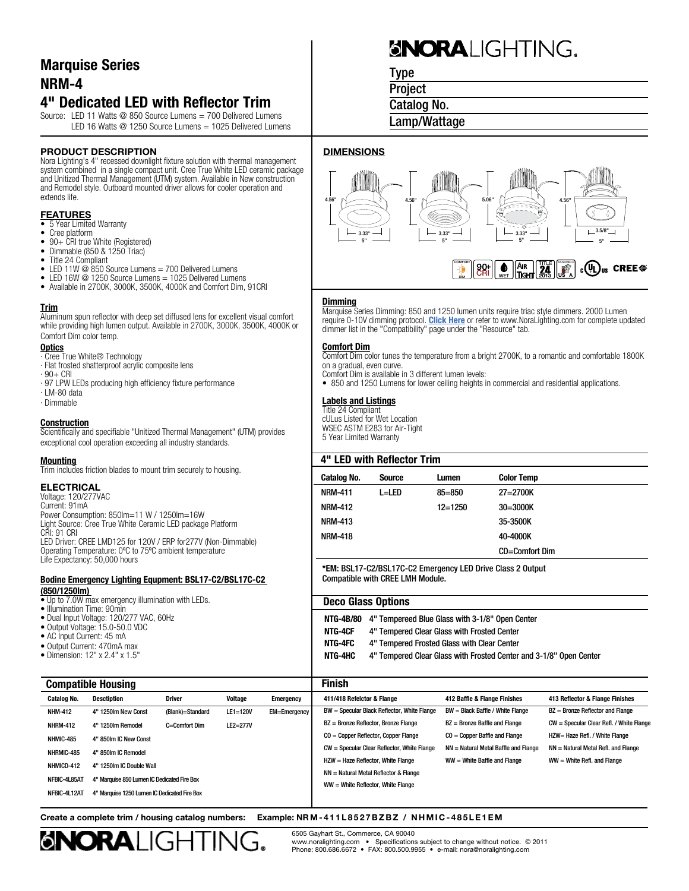### Marquise Series NRM-4

### 4" Dedicated LED with Reflector Trim

Source: LED 11 Watts @ 850 Source Lumens = 700 Delivered Lumens LED 16 Watts @ 1250 Source Lumens = 1025 Delivered Lumens

#### **PRODUCT DESCRIPTION**

Nora Lighting's 4" recessed downlight fixture solution with thermal management system combined in a single compact unit. Cree True White LED ceramic package and Unitized Thermal Management (UTM) system. Available in New construction and Remodel style. Outboard mounted driver allows for cooler operation and extends life.

#### **FEATURES**

- 5 Year Limited Warranty
- Cree platform
- 90+ CRI true White (Registered)<br>• Dimmable (850 & 1250 Triac) Dimmable (850 & 1250 Triac)
- 
- Title 24 Compliant
- LED 11W @ 850 Source Lumens = 700 Delivered Lumens
- LED 16W @ 1250 Source Lumens = 1025 Delivered Lumens
- Available in 2700K, 3000K, 3500K, 4000K and Comfort Dim, 91CRI

#### Trim

Aluminum spun reflector with deep set diffused lens for excellent visual comfort while providing high lumen output. Available in 2700K, 3000K, 3500K, 4000K or Comfort Dim color temp.

- **Optics** ∙ Cree True White® Technology
- ∙ Flat frosted shatterproof acrylic composite lens
- ∙ 90+ CRI
- ∙ 97 LPW LEDs producing high efficiency fixture performance
- ∙ LM-80 data ∙ Dimmable
- 

#### **Construction**

Scientifically and specifiable "Unitized Thermal Management" (UTM) provides exceptional cool operation exceeding all industry standards.

#### **Mounting**

Trim includes friction blades to mount trim securely to housing.

#### ELECTRICAL

Voltage: 120/277VAC Current: 91mA Power Consumption: 850lm=11 W / 1250lm=16W Light Source: Cree True White Ceramic LED package Platform CRI: 91 CRI LED Driver: CREE LMD125 for 120V / ERP for277V (Non-Dimmable) Operating Temperature: 0ºC to 75ºC ambient temperature Life Expectancy: 50,000 hours

#### **Bodine Emergency Lighting Equpment: BSL17-C2/BSL17C-C2 (850/1250lm)**

Catalog No. Desctiption **Deschiption Description** Driver **Voltage** Emerge NHM-412 4" 1250lm New Const (Blank)=Standard LE1=120V EM=Eme

- Up to 7.0W max emergency illumination with LEDs.
- Illumination Time: 90min
- Dual Input Voltage: 120/277 VAC, 60Hz
- Output Voltage: 15.0-50.0 VDC
- AC Input Current: 45 mA
- Output Current: 470mA max
- Dimension: 12" x 2.4" x 1.5"

Compatible Housing

NHMIC-485 4" 850lm IC New Const NHRMIC-485 4" 850lm IC Remodel NHMICD-412 4" 1250lm IC Double Wall

NFBIC-4L85AT 4" Marquise 850 Lumen IC Dedicated Fire Box NFBIC-4L12AT 4" Marquise 1250 Lumen IC Dedicated Fire Box

# **GNORALIGHTING.**

Type

**Project** 

Catalog No.

Lamp/Wattage

#### **DIMENSIONS**



#### **Dimming**

Marquise Series Dimming: 850 and 1250 lumen units require triac style dimmers. 2000 Lumen require 0-10V dimming protocol. [Click Here](http://www.noralighting.com/Uploads/downloads/Marquise_Dimmer-Compatibility.pdf) or refer to www.NoraLighting.com for complete updated dimmer list in the "Compatibility" page under the "Resource" tab.

#### Comfort Dim

Comfort Dim color tunes the temperature from a bright 2700K, to a romantic and comfortable 1800K on a gradual, even curve.

Comfort Dim is available in 3 different lumen levels:

• 850 and 1250 Lumens for lower ceiling heights in commercial and residential applications.

#### Labels and Listings

Title 24 Compliant cULus Listed for Wet Location WSEC ASTM E283 for Air-Tight 5 Year Limited Warranty

| <b>Catalog No.</b>                                                                                                                                                               | <b>Source</b>                                                                                  | Lumen                                  | <b>Color Temp</b> |                                          |  |  |         |
|----------------------------------------------------------------------------------------------------------------------------------------------------------------------------------|------------------------------------------------------------------------------------------------|----------------------------------------|-------------------|------------------------------------------|--|--|---------|
| <b>NRM-411</b>                                                                                                                                                                   | $L = LFD$                                                                                      | $85 = 850$                             | $27 = 2700K$      |                                          |  |  |         |
| <b>NRM-412</b>                                                                                                                                                                   |                                                                                                | $12 = 1250$                            | 30=3000K          |                                          |  |  |         |
| <b>NRM-413</b>                                                                                                                                                                   |                                                                                                |                                        | 35-3500K          |                                          |  |  |         |
| <b>NRM-418</b>                                                                                                                                                                   |                                                                                                |                                        | 40-4000K          |                                          |  |  |         |
|                                                                                                                                                                                  |                                                                                                |                                        | CD=Comfort Dim    |                                          |  |  |         |
|                                                                                                                                                                                  | *EM: BSL17-C2/BSL17C-C2 Emergency LED Drive Class 2 Output<br>Compatible with CREE LMH Module. |                                        |                   |                                          |  |  |         |
| <b>Deco Glass Options</b>                                                                                                                                                        |                                                                                                |                                        |                   |                                          |  |  |         |
| NTG-4B/80<br>4" Tempereed Blue Glass with 3-1/8" Open Center<br>NTG-4CF<br>4" Tempered Clear Glass with Frosted Center<br>NTG-4FC<br>4" Tempered Frosted Glass with Clear Center |                                                                                                |                                        |                   |                                          |  |  |         |
|                                                                                                                                                                                  |                                                                                                |                                        |                   |                                          |  |  | NTG-4HC |
|                                                                                                                                                                                  | 4" Tempered Clear Glass with Frosted Center and 3-1/8" Open Center                             |                                        |                   |                                          |  |  |         |
| <b>Finish</b>                                                                                                                                                                    |                                                                                                |                                        |                   |                                          |  |  |         |
| 411/418 Refelctor & Flange                                                                                                                                                       |                                                                                                | 412 Baffle & Flange Finishes           |                   | 413 Reflector & Flange Finishes          |  |  |         |
|                                                                                                                                                                                  | BW = Specular Black Reflector, White Flange                                                    | BW = Black Baffle / White Flange       |                   | BZ = Bronze Reflector and Flange         |  |  |         |
|                                                                                                                                                                                  | BZ = Bronze Reflector, Bronze Flange                                                           | BZ = Bronze Baffle and Flange          |                   | CW = Specular Clear Refl. / White Flange |  |  |         |
|                                                                                                                                                                                  | $CO = Copper$ Reflector, Copper Flange                                                         | $CO = Copper$ Baffle and Flange        |                   | HZW= Haze Refl. / White Flange           |  |  |         |
|                                                                                                                                                                                  | CW = Specular Clear Reflector, White Flange                                                    | $NN = Natural Metal Baffle and Flanae$ |                   | NN = Natural Metal Refl. and Flange      |  |  |         |
|                                                                                                                                                                                  | HZW = Haze Reflector, White Flange                                                             | WW = White Baffle and Flange           |                   | $WW = White Refl.$ and Flange            |  |  |         |
|                                                                                                                                                                                  | NN = Natural Metal Reflector & Flange                                                          |                                        |                   |                                          |  |  |         |

#### Create a complete trim / housing catalog numbers: Example: NRM-411L8527BZBZ / NHMIC-485LE1EM



NHRM-412 4" 1250lm Remodel C=Comfort Dim LE2=277V

6505 Gayhart St., Commerce, CA 90040 www.noralighting.com • Specifications subject to change without notice. © 2011 Phone: 800.686.6672 • FAX: 800.500.9955 • e-mail: nora@noralighting.com

WW = White Reflector, White Flange